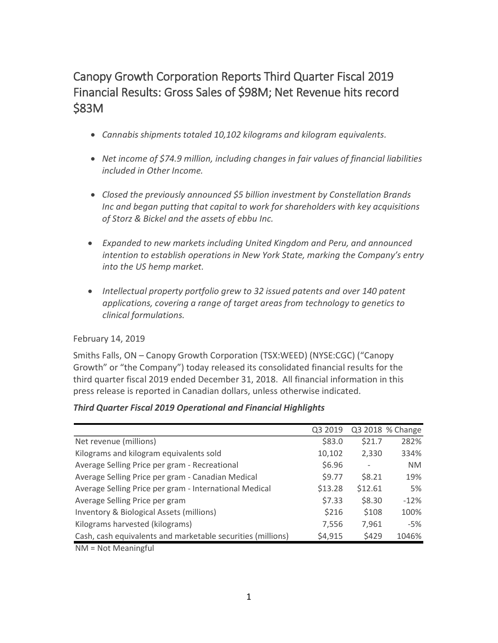# Canopy Growth Corporation Reports Third Quarter Fiscal 2019 Financial Results: Gross Sales of \$98M; Net Revenue hits record \$83M

- *Cannabis shipments totaled 10,102 kilograms and kilogram equivalents.*
- *Net income of \$74.9 million, including changes in fair values of financial liabilities included in Other Income.*
- *Closed the previously announced \$5 billion investment by Constellation Brands Inc and began putting that capital to work for shareholders with key acquisitions of Storz & Bickel and the assets of ebbu Inc.*
- *Expanded to new markets including United Kingdom and Peru, and announced intention to establish operations in New York State, marking the Company's entry into the US hemp market.*
- *Intellectual property portfolio grew to 32 issued patents and over 140 patent applications, covering a range of target areas from technology to genetics to clinical formulations.*

## February 14, 2019

Smiths Falls, ON – Canopy Growth Corporation (TSX:WEED) (NYSE:CGC) ("Canopy Growth" or "the Company") today released its consolidated financial results for the third quarter fiscal 2019 ended December 31, 2018. All financial information in this press release is reported in Canadian dollars, unless otherwise indicated.

## *Third Quarter Fiscal 2019 Operational and Financial Highlights*

|                                                             | Q3 2019 |         | Q3 2018 % Change |
|-------------------------------------------------------------|---------|---------|------------------|
| Net revenue (millions)                                      | \$83.0  | \$21.7  | 282%             |
| Kilograms and kilogram equivalents sold                     | 10,102  | 2,330   | 334%             |
| Average Selling Price per gram - Recreational               | \$6.96  |         | <b>NM</b>        |
| Average Selling Price per gram - Canadian Medical           | \$9.77  | \$8.21  | 19%              |
| Average Selling Price per gram - International Medical      | \$13.28 | \$12.61 | 5%               |
| Average Selling Price per gram                              | \$7.33  | \$8.30  | $-12%$           |
| Inventory & Biological Assets (millions)                    | \$216   | \$108   | 100%             |
| Kilograms harvested (kilograms)                             | 7,556   | 7,961   | -5%              |
| Cash, cash equivalents and marketable securities (millions) | \$4,915 | \$429   | 1046%            |
| $NIA = N0+NA0$                                              |         |         |                  |

NM = Not Meaningful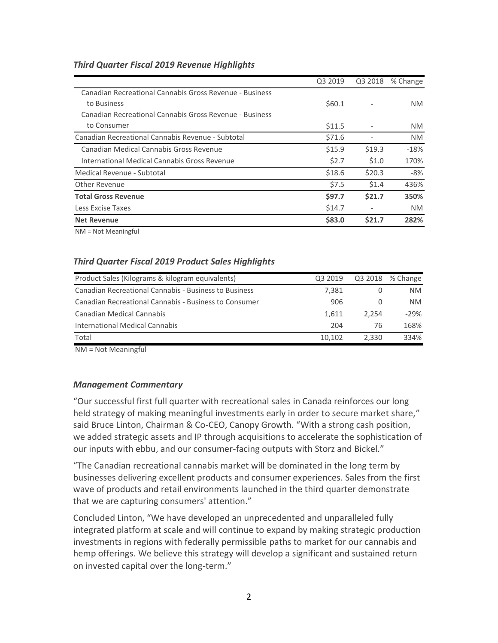### *Third Quarter Fiscal 2019 Revenue Highlights*

|                                                         | Q3 2019 | Q3 2018 | % Change  |
|---------------------------------------------------------|---------|---------|-----------|
| Canadian Recreational Cannabis Gross Revenue - Business |         |         |           |
| to Business                                             | \$60.1  |         | NM.       |
| Canadian Recreational Cannabis Gross Revenue - Business |         |         |           |
| to Consumer                                             | \$11.5  |         | NM.       |
| Canadian Recreational Cannabis Revenue - Subtotal       | \$71.6  |         | <b>NM</b> |
| Canadian Medical Cannabis Gross Revenue                 | \$15.9  | \$19.3  | $-18%$    |
| International Medical Cannabis Gross Revenue            | \$2.7   | \$1.0   | 170%      |
| Medical Revenue - Subtotal                              | \$18.6  | \$20.3  | -8%       |
| Other Revenue                                           | \$7.5   | \$1.4   | 436%      |
| <b>Total Gross Revenue</b>                              | \$97.7  | \$21.7  | 350%      |
| Less Excise Taxes                                       | \$14.7  |         | NM.       |
| <b>Net Revenue</b>                                      | \$83.0  | \$21.7  | 282%      |

NM = Not Meaningful

### *Third Quarter Fiscal 2019 Product Sales Highlights*

| Product Sales (Kilograms & kilogram equivalents)      | Q3 2019 |       | Q3 2018 % Change |
|-------------------------------------------------------|---------|-------|------------------|
| Canadian Recreational Cannabis - Business to Business | 7.381   |       | NM.              |
| Canadian Recreational Cannabis - Business to Consumer | 906     |       | NM.              |
| Canadian Medical Cannabis                             | 1.611   | 2.254 | $-29%$           |
| International Medical Cannabis                        | 204     | 76    | 168%             |
| Total                                                 | 10.102  | 2.330 | 334%             |

NM = Not Meaningful

#### *Management Commentary*

"Our successful first full quarter with recreational sales in Canada reinforces our long held strategy of making meaningful investments early in order to secure market share," said Bruce Linton, Chairman & Co-CEO, Canopy Growth. "With a strong cash position, we added strategic assets and IP through acquisitions to accelerate the sophistication of our inputs with ebbu, and our consumer-facing outputs with Storz and Bickel."

"The Canadian recreational cannabis market will be dominated in the long term by businesses delivering excellent products and consumer experiences. Sales from the first wave of products and retail environments launched in the third quarter demonstrate that we are capturing consumers' attention."

Concluded Linton, "We have developed an unprecedented and unparalleled fully integrated platform at scale and will continue to expand by making strategic production investments in regions with federally permissible paths to market for our cannabis and hemp offerings. We believe this strategy will develop a significant and sustained return on invested capital over the long-term."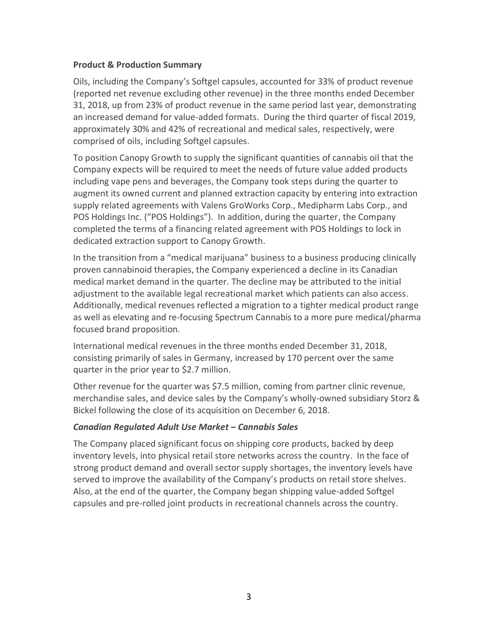### **Product & Production Summary**

Oils, including the Company's Softgel capsules, accounted for 33% of product revenue (reported net revenue excluding other revenue) in the three months ended December 31, 2018, up from 23% of product revenue in the same period last year, demonstrating an increased demand for value-added formats. During the third quarter of fiscal 2019, approximately 30% and 42% of recreational and medical sales, respectively, were comprised of oils, including Softgel capsules.

To position Canopy Growth to supply the significant quantities of cannabis oil that the Company expects will be required to meet the needs of future value added products including vape pens and beverages, the Company took steps during the quarter to augment its owned current and planned extraction capacity by entering into extraction supply related agreements with Valens GroWorks Corp., Medipharm Labs Corp., and POS Holdings Inc. ("POS Holdings"). In addition, during the quarter, the Company completed the terms of a financing related agreement with POS Holdings to lock in dedicated extraction support to Canopy Growth.

In the transition from a "medical marijuana" business to a business producing clinically proven cannabinoid therapies, the Company experienced a decline in its Canadian medical market demand in the quarter. The decline may be attributed to the initial adjustment to the available legal recreational market which patients can also access. Additionally, medical revenues reflected a migration to a tighter medical product range as well as elevating and re-focusing Spectrum Cannabis to a more pure medical/pharma focused brand proposition.

International medical revenues in the three months ended December 31, 2018, consisting primarily of sales in Germany, increased by 170 percent over the same quarter in the prior year to \$2.7 million.

Other revenue for the quarter was \$7.5 million, coming from partner clinic revenue, merchandise sales, and device sales by the Company's wholly-owned subsidiary Storz & Bickel following the close of its acquisition on December 6, 2018.

## *Canadian Regulated Adult Use Market – Cannabis Sales*

The Company placed significant focus on shipping core products, backed by deep inventory levels, into physical retail store networks across the country. In the face of strong product demand and overall sector supply shortages, the inventory levels have served to improve the availability of the Company's products on retail store shelves. Also, at the end of the quarter, the Company began shipping value-added Softgel capsules and pre-rolled joint products in recreational channels across the country.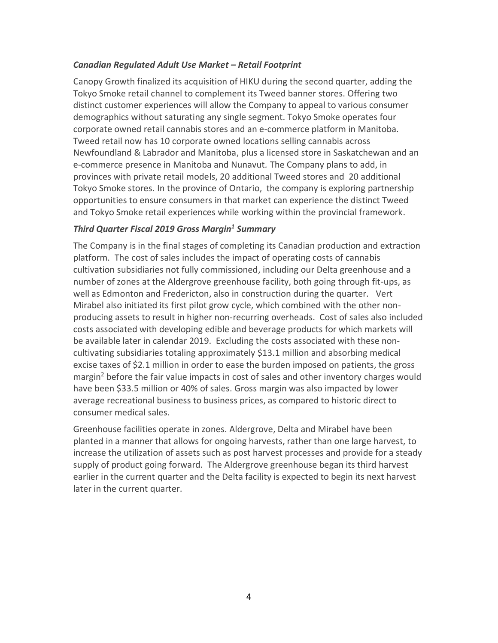### *Canadian Regulated Adult Use Market – Retail Footprint*

Canopy Growth finalized its acquisition of HIKU during the second quarter, adding the Tokyo Smoke retail channel to complement its Tweed banner stores. Offering two distinct customer experiences will allow the Company to appeal to various consumer demographics without saturating any single segment. Tokyo Smoke operates four corporate owned retail cannabis stores and an e-commerce platform in Manitoba. Tweed retail now has 10 corporate owned locations selling cannabis across Newfoundland & Labrador and Manitoba, plus a licensed store in Saskatchewan and an e-commerce presence in Manitoba and Nunavut*.* The Company plans to add, in provinces with private retail models, 20 additional Tweed stores and 20 additional Tokyo Smoke stores. In the province of Ontario, the company is exploring partnership opportunities to ensure consumers in that market can experience the distinct Tweed and Tokyo Smoke retail experiences while working within the provincial framework.

### *Third Quarter Fiscal 2019 Gross Margin<sup>1</sup> Summary*

The Company is in the final stages of completing its Canadian production and extraction platform. The cost of sales includes the impact of operating costs of cannabis cultivation subsidiaries not fully commissioned, including our Delta greenhouse and a number of zones at the Aldergrove greenhouse facility, both going through fit-ups, as well as Edmonton and Fredericton, also in construction during the quarter. Vert Mirabel also initiated its first pilot grow cycle, which combined with the other nonproducing assets to result in higher non-recurring overheads. Cost of sales also included costs associated with developing edible and beverage products for which markets will be available later in calendar 2019. Excluding the costs associated with these noncultivating subsidiaries totaling approximately \$13.1 million and absorbing medical excise taxes of \$2.1 million in order to ease the burden imposed on patients, the gross margin<sup>2</sup> before the fair value impacts in cost of sales and other inventory charges would have been \$33.5 million or 40% of sales. Gross margin was also impacted by lower average recreational business to business prices, as compared to historic direct to consumer medical sales.

Greenhouse facilities operate in zones. Aldergrove, Delta and Mirabel have been planted in a manner that allows for ongoing harvests, rather than one large harvest, to increase the utilization of assets such as post harvest processes and provide for a steady supply of product going forward. The Aldergrove greenhouse began its third harvest earlier in the current quarter and the Delta facility is expected to begin its next harvest later in the current quarter.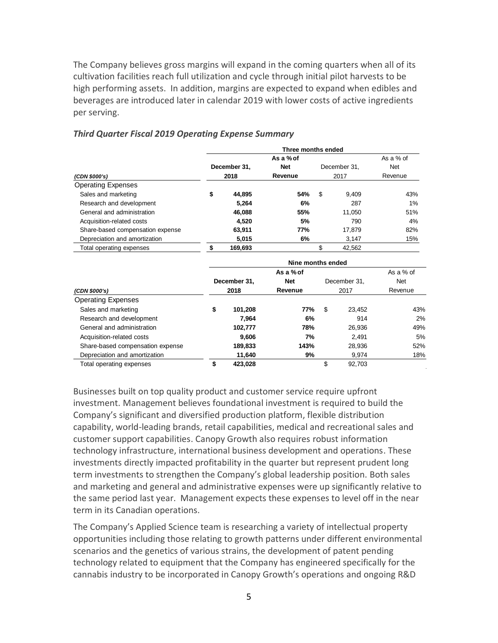The Company believes gross margins will expand in the coming quarters when all of its cultivation facilities reach full utilization and cycle through initial pilot harvests to be high performing assets. In addition, margins are expected to expand when edibles and beverages are introduced later in calendar 2019 with lower costs of active ingredients per serving.

|                                  | Three months ended         |              |            |      |              |            |  |  |
|----------------------------------|----------------------------|--------------|------------|------|--------------|------------|--|--|
|                                  |                            |              | As a % of  |      |              |            |  |  |
|                                  | December 31,<br><b>Net</b> |              |            |      | December 31, | <b>Net</b> |  |  |
| 2018<br>(CDN \$000's)            |                            | Revenue      |            | 2017 | Revenue      |            |  |  |
| <b>Operating Expenses</b>        |                            |              |            |      |              |            |  |  |
| Sales and marketing              | \$                         | 44,895       | 54%        | \$   | 9,409        | 43%        |  |  |
| Research and development         |                            | 5,264        | 6%         |      | 287          | 1%         |  |  |
| General and administration       |                            | 46,088       | 55%        |      | 11,050       | 51%        |  |  |
| Acquisition-related costs        |                            | 4,520        | 5%         |      | 790          | 4%         |  |  |
| Share-based compensation expense |                            | 63,911       | 77%        |      | 17,879       | 82%        |  |  |
| Depreciation and amortization    |                            | 5,015        | 6%         |      | 3,147        | 15%        |  |  |
| Total operating expenses         | \$                         | 169,693      |            | \$   | 42,562       |            |  |  |
|                                  | Nine months ended          |              |            |      |              |            |  |  |
|                                  | As a % of                  |              |            |      |              | As a % of  |  |  |
|                                  |                            | December 31, | <b>Net</b> |      | December 31. | <b>Net</b> |  |  |
| (CDN \$000's)                    |                            | 2018         | Revenue    |      | 2017         | Revenue    |  |  |
| <b>Operating Expenses</b>        |                            |              |            |      |              |            |  |  |
| Sales and marketing              | \$                         | 101,208      | 77%        | \$   | 23,452       | 43%        |  |  |
| Research and development         |                            | 7,964        | 6%         |      | 914          | 2%         |  |  |
| General and administration       |                            | 102,777      | 78%        |      | 26,936       | 49%        |  |  |
| Acquisition-related costs        |                            | 9,606        | 7%         |      | 2,491        | 5%         |  |  |
| Share-based compensation expense |                            | 189,833      | 143%       |      | 28,936       | 52%        |  |  |
| Depreciation and amortization    |                            | 11,640       | 9%         |      | 9,974        | 18%        |  |  |
| Total operating expenses         | \$                         | 423,028      |            | \$   | 92,703       |            |  |  |

#### *Third Quarter Fiscal 2019 Operating Expense Summary*

Businesses built on top quality product and customer service require upfront investment. Management believes foundational investment is required to build the Company's significant and diversified production platform, flexible distribution capability, world-leading brands, retail capabilities, medical and recreational sales and customer support capabilities. Canopy Growth also requires robust information technology infrastructure, international business development and operations. These investments directly impacted profitability in the quarter but represent prudent long term investments to strengthen the Company's global leadership position. Both sales and marketing and general and administrative expenses were up significantly relative to the same period last year. Management expects these expenses to level off in the near term in its Canadian operations.

The Company's Applied Science team is researching a variety of intellectual property opportunities including those relating to growth patterns under different environmental scenarios and the genetics of various strains, the development of patent pending technology related to equipment that the Company has engineered specifically for the cannabis industry to be incorporated in Canopy Growth's operations and ongoing R&D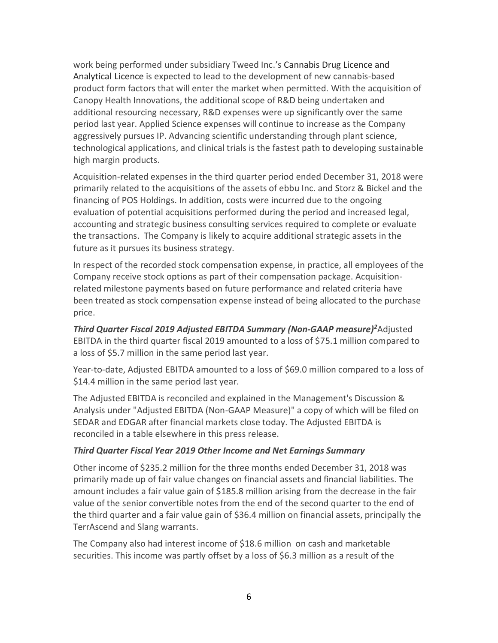work being performed under subsidiary Tweed Inc.'s Cannabis Drug Licence and Analytical Licence is expected to lead to the development of new cannabis-based product form factors that will enter the market when permitted. With the acquisition of Canopy Health Innovations, the additional scope of R&D being undertaken and additional resourcing necessary, R&D expenses were up significantly over the same period last year. Applied Science expenses will continue to increase as the Company aggressively pursues IP. Advancing scientific understanding through plant science, technological applications, and clinical trials is the fastest path to developing sustainable high margin products.

Acquisition-related expenses in the third quarter period ended December 31, 2018 were primarily related to the acquisitions of the assets of ebbu Inc. and Storz & Bickel and the financing of POS Holdings. In addition, costs were incurred due to the ongoing evaluation of potential acquisitions performed during the period and increased legal, accounting and strategic business consulting services required to complete or evaluate the transactions. The Company is likely to acquire additional strategic assets in the future as it pursues its business strategy.

In respect of the recorded stock compensation expense, in practice, all employees of the Company receive stock options as part of their compensation package. Acquisitionrelated milestone payments based on future performance and related criteria have been treated as stock compensation expense instead of being allocated to the purchase price.

*Third Quarter Fiscal 2019 Adjusted EBITDA Summary (Non-GAAP measure)<sup>2</sup>*Adjusted EBITDA in the third quarter fiscal 2019 amounted to a loss of \$75.1 million compared to a loss of \$5.7 million in the same period last year.

Year-to-date, Adjusted EBITDA amounted to a loss of \$69.0 million compared to a loss of \$14.4 million in the same period last year.

The Adjusted EBITDA is reconciled and explained in the Management's Discussion & Analysis under "Adjusted EBITDA (Non-GAAP Measure)" a copy of which will be filed on SEDAR and EDGAR after financial markets close today. The Adjusted EBITDA is reconciled in a table elsewhere in this press release.

## *Third Quarter Fiscal Year 2019 Other Income and Net Earnings Summary*

Other income of \$235.2 million for the three months ended December 31, 2018 was primarily made up of fair value changes on financial assets and financial liabilities. The amount includes a fair value gain of \$185.8 million arising from the decrease in the fair value of the senior convertible notes from the end of the second quarter to the end of the third quarter and a fair value gain of \$36.4 million on financial assets, principally the TerrAscend and Slang warrants.

The Company also had interest income of \$18.6 million on cash and marketable securities. This income was partly offset by a loss of \$6.3 million as a result of the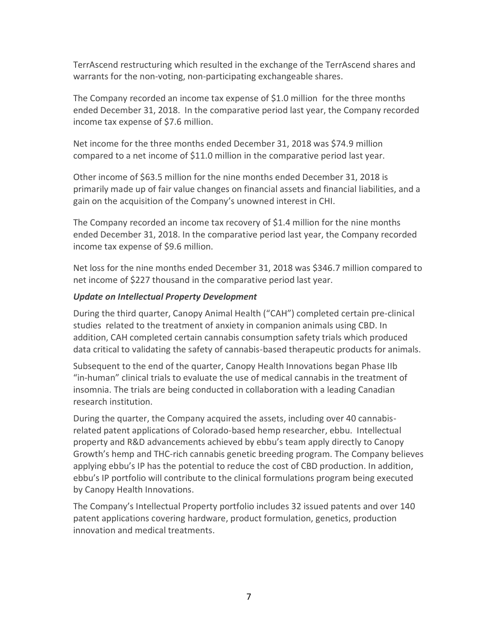TerrAscend restructuring which resulted in the exchange of the TerrAscend shares and warrants for the non-voting, non-participating exchangeable shares.

The Company recorded an income tax expense of \$1.0 million for the three months ended December 31, 2018. In the comparative period last year, the Company recorded income tax expense of \$7.6 million.

Net income for the three months ended December 31, 2018 was \$74.9 million compared to a net income of \$11.0 million in the comparative period last year.

Other income of \$63.5 million for the nine months ended December 31, 2018 is primarily made up of fair value changes on financial assets and financial liabilities, and a gain on the acquisition of the Company's unowned interest in CHI.

The Company recorded an income tax recovery of \$1.4 million for the nine months ended December 31, 2018. In the comparative period last year, the Company recorded income tax expense of \$9.6 million.

Net loss for the nine months ended December 31, 2018 was \$346.7 million compared to net income of \$227 thousand in the comparative period last year.

# *Update on Intellectual Property Development*

During the third quarter, Canopy Animal Health ("CAH") completed certain pre-clinical studies related to the treatment of anxiety in companion animals using CBD. In addition, CAH completed certain cannabis consumption safety trials which produced data critical to validating the safety of cannabis-based therapeutic products for animals.

Subsequent to the end of the quarter, Canopy Health Innovations began Phase IIb "in-human" clinical trials to evaluate the use of medical cannabis in the treatment of insomnia. The trials are being conducted in collaboration with a leading Canadian research institution.

During the quarter, the Company acquired the assets, including over 40 cannabisrelated patent applications of Colorado-based hemp researcher, ebbu. Intellectual property and R&D advancements achieved by ebbu's team apply directly to Canopy Growth's hemp and THC-rich cannabis genetic breeding program. The Company believes applying ebbu's IP has the potential to reduce the cost of CBD production. In addition, ebbu's IP portfolio will contribute to the clinical formulations program being executed by Canopy Health Innovations.

The Company's Intellectual Property portfolio includes 32 issued patents and over 140 patent applications covering hardware, product formulation, genetics, production innovation and medical treatments.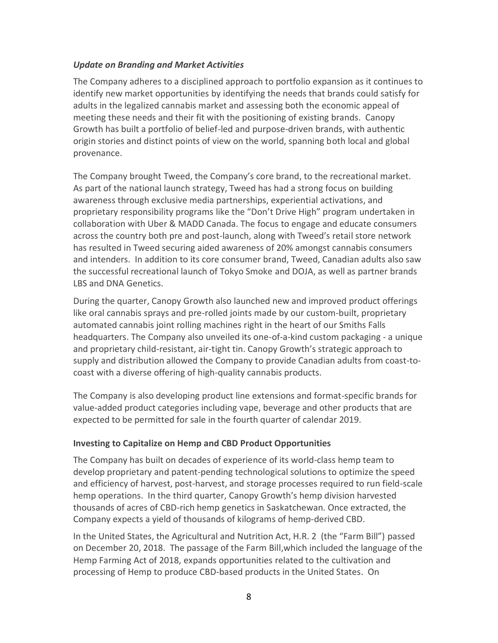### *Update on Branding and Market Activities*

The Company adheres to a disciplined approach to portfolio expansion as it continues to identify new market opportunities by identifying the needs that brands could satisfy for adults in the legalized cannabis market and assessing both the economic appeal of meeting these needs and their fit with the positioning of existing brands. Canopy Growth has built a portfolio of belief-led and purpose-driven brands, with authentic origin stories and distinct points of view on the world, spanning both local and global provenance.

The Company brought Tweed, the Company's core brand, to the recreational market. As part of the national launch strategy, Tweed has had a strong focus on building awareness through exclusive media partnerships, experiential activations, and proprietary responsibility programs like the "Don't Drive High" program undertaken in collaboration with Uber & MADD Canada. The focus to engage and educate consumers across the country both pre and post-launch, along with Tweed's retail store network has resulted in Tweed securing aided awareness of 20% amongst cannabis consumers and intenders. In addition to its core consumer brand, Tweed, Canadian adults also saw the successful recreational launch of Tokyo Smoke and DOJA, as well as partner brands LBS and DNA Genetics.

During the quarter, Canopy Growth also launched new and improved product offerings like oral cannabis sprays and pre-rolled joints made by our custom-built, proprietary automated cannabis joint rolling machines right in the heart of our Smiths Falls headquarters. The Company also unveiled its one-of-a-kind custom packaging - a unique and proprietary child-resistant, air-tight tin. Canopy Growth's strategic approach to supply and distribution allowed the Company to provide Canadian adults from coast-tocoast with a diverse offering of high-quality cannabis products.

The Company is also developing product line extensions and format-specific brands for value-added product categories including vape, beverage and other products that are expected to be permitted for sale in the fourth quarter of calendar 2019.

### **Investing to Capitalize on Hemp and CBD Product Opportunities**

The Company has built on decades of experience of its world-class hemp team to develop proprietary and patent-pending technological solutions to optimize the speed and efficiency of harvest, post-harvest, and storage processes required to run field-scale hemp operations. In the third quarter, Canopy Growth's hemp division harvested thousands of acres of CBD-rich hemp genetics in Saskatchewan. Once extracted, the Company expects a yield of thousands of kilograms of hemp-derived CBD.

In the United States, the Agricultural and Nutrition Act, H.R. 2 (the "Farm Bill") passed on December 20, 2018. The passage of the Farm Bill,which included the language of the Hemp Farming Act of 2018, expands opportunities related to the cultivation and processing of Hemp to produce CBD-based products in the United States. On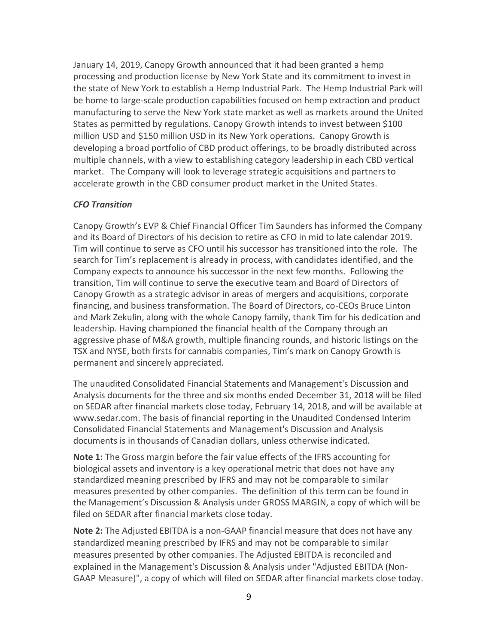January 14, 2019, Canopy Growth announced that it had been granted a hemp processing and production license by New York State and its commitment to invest in the state of New York to establish a Hemp Industrial Park. The Hemp Industrial Park will be home to large-scale production capabilities focused on hemp extraction and product manufacturing to serve the New York state market as well as markets around the United States as permitted by regulations. Canopy Growth intends to invest between \$100 million USD and \$150 million USD in its New York operations. Canopy Growth is developing a broad portfolio of CBD product offerings, to be broadly distributed across multiple channels, with a view to establishing category leadership in each CBD vertical market. The Company will look to leverage strategic acquisitions and partners to accelerate growth in the CBD consumer product market in the United States.

#### *CFO Transition*

Canopy Growth's EVP & Chief Financial Officer Tim Saunders has informed the Company and its Board of Directors of his decision to retire as CFO in mid to late calendar 2019. Tim will continue to serve as CFO until his successor has transitioned into the role. The search for Tim's replacement is already in process, with candidates identified, and the Company expects to announce his successor in the next few months. Following the transition, Tim will continue to serve the executive team and Board of Directors of Canopy Growth as a strategic advisor in areas of mergers and acquisitions, corporate financing, and business transformation. The Board of Directors, co-CEOs Bruce Linton and Mark Zekulin, along with the whole Canopy family, thank Tim for his dedication and leadership. Having championed the financial health of the Company through an aggressive phase of M&A growth, multiple financing rounds, and historic listings on the TSX and NYSE, both firsts for cannabis companies, Tim's mark on Canopy Growth is permanent and sincerely appreciated.

The unaudited Consolidated Financial Statements and Management's Discussion and Analysis documents for the three and six months ended December 31, 2018 will be filed on SEDAR after financial markets close today, February 14, 2018, and will be available at www.sedar.com. The basis of financial reporting in the Unaudited Condensed Interim Consolidated Financial Statements and Management's Discussion and Analysis documents is in thousands of Canadian dollars, unless otherwise indicated.

**Note 1:** The Gross margin before the fair value effects of the IFRS accounting for biological assets and inventory is a key operational metric that does not have any standardized meaning prescribed by IFRS and may not be comparable to similar measures presented by other companies. The definition of this term can be found in the Management's Discussion & Analysis under GROSS MARGIN, a copy of which will be filed on SEDAR after financial markets close today.

**Note 2:** The Adjusted EBITDA is a non-GAAP financial measure that does not have any standardized meaning prescribed by IFRS and may not be comparable to similar measures presented by other companies. The Adjusted EBITDA is reconciled and explained in the Management's Discussion & Analysis under "Adjusted EBITDA (Non-GAAP Measure)", a copy of which will filed on SEDAR after financial markets close today.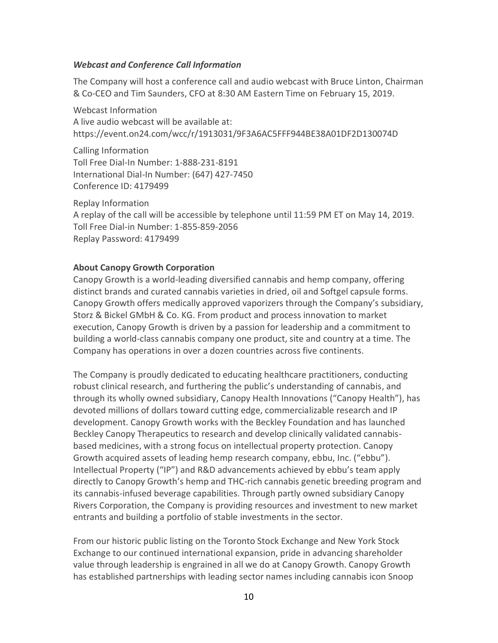#### *Webcast and Conference Call Information*

The Company will host a conference call and audio webcast with Bruce Linton, Chairman & Co-CEO and Tim Saunders, CFO at 8:30 AM Eastern Time on February 15, 2019.

Webcast Information A live audio webcast will be available at: https://event.on24.com/wcc/r/1913031/9F3A6AC5FFF944BE38A01DF2D130074D

Calling Information Toll Free Dial-In Number: 1-888-231-8191 International Dial-In Number: (647) 427-7450 Conference ID: 4179499

Replay Information A replay of the call will be accessible by telephone until 11:59 PM ET on May 14, 2019. Toll Free Dial-in Number: 1-855-859-2056 Replay Password: 4179499

### **About Canopy Growth Corporation**

Canopy Growth is a world-leading diversified cannabis and hemp company, offering distinct brands and curated cannabis varieties in dried, oil and Softgel capsule forms. Canopy Growth offers medically approved vaporizers through the Company's subsidiary, Storz & Bickel GMbH & Co. KG. From product and process innovation to market execution, Canopy Growth is driven by a passion for leadership and a commitment to building a world-class cannabis company one product, site and country at a time. The Company has operations in over a dozen countries across five continents.

The Company is proudly dedicated to educating healthcare practitioners, conducting robust clinical research, and furthering the public's understanding of cannabis, and through its wholly owned subsidiary, Canopy Health Innovations ("Canopy Health"), has devoted millions of dollars toward cutting edge, commercializable research and IP development. Canopy Growth works with the Beckley Foundation and has launched Beckley Canopy Therapeutics to research and develop clinically validated cannabisbased medicines, with a strong focus on intellectual property protection. Canopy Growth acquired assets of leading hemp research company, ebbu, Inc. ("ebbu"). Intellectual Property ("IP") and R&D advancements achieved by ebbu's team apply directly to Canopy Growth's hemp and THC-rich cannabis genetic breeding program and its cannabis-infused beverage capabilities. Through partly owned subsidiary Canopy Rivers Corporation, the Company is providing resources and investment to new market entrants and building a portfolio of stable investments in the sector.

From our historic public listing on the Toronto Stock Exchange and New York Stock Exchange to our continued international expansion, pride in advancing shareholder value through leadership is engrained in all we do at Canopy Growth. Canopy Growth has established partnerships with leading sector names including cannabis icon Snoop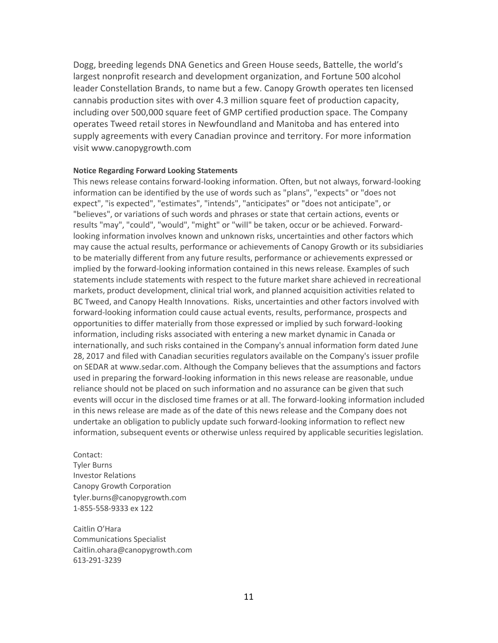Dogg, breeding legends DNA Genetics and Green House seeds, Battelle, the world's largest nonprofit research and development organization, and Fortune 500 alcohol leader Constellation Brands, to name but a few. Canopy Growth operates ten licensed cannabis production sites with over 4.3 million square feet of production capacity, including over 500,000 square feet of GMP certified production space. The Company operates Tweed retail stores in Newfoundland and Manitoba and has entered into supply agreements with every Canadian province and territory. For more information visit www.canopygrowth.com

#### **Notice Regarding Forward Looking Statements**

This news release contains forward-looking information. Often, but not always, forward-looking information can be identified by the use of words such as "plans", "expects" or "does not expect", "is expected", "estimates", "intends", "anticipates" or "does not anticipate", or "believes", or variations of such words and phrases or state that certain actions, events or results "may", "could", "would", "might" or "will" be taken, occur or be achieved. Forwardlooking information involves known and unknown risks, uncertainties and other factors which may cause the actual results, performance or achievements of Canopy Growth or its subsidiaries to be materially different from any future results, performance or achievements expressed or implied by the forward-looking information contained in this news release. Examples of such statements include statements with respect to the future market share achieved in recreational markets, product development, clinical trial work, and planned acquisition activities related to BC Tweed, and Canopy Health Innovations. Risks, uncertainties and other factors involved with forward-looking information could cause actual events, results, performance, prospects and opportunities to differ materially from those expressed or implied by such forward-looking information, including risks associated with entering a new market dynamic in Canada or internationally, and such risks contained in the Company's annual information form dated June 28, 2017 and filed with Canadian securities regulators available on the Company's issuer profile on SEDAR at [www.sedar.com.](https://www.sedar.com/) Although the Company believes that the assumptions and factors used in preparing the forward-looking information in this news release are reasonable, undue reliance should not be placed on such information and no assurance can be given that such events will occur in the disclosed time frames or at all. The forward-looking information included in this news release are made as of the date of this news release and the Company does not undertake an obligation to publicly update such forward-looking information to reflect new information, subsequent events or otherwise unless required by applicable securities legislation.

Contact: Tyler Burns Investor Relations Canopy Growth Corporation tyler.burns@canopygrowth.com 1-855-558-9333 ex 122

Caitlin O'Hara Communications Specialist Caitlin.ohara@canopygrowth.com 613-291-3239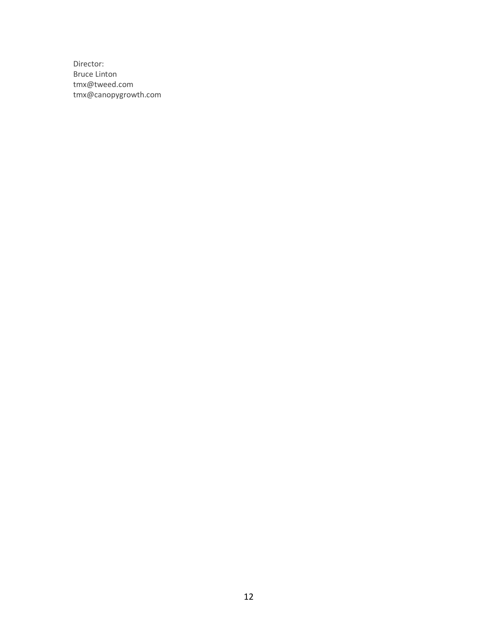Director: Bruce Linton [tmx@tweed.com](mailto:tmx@tweed.com) [tmx@canopygrowth.com](mailto:tmx@canopygrowth.com)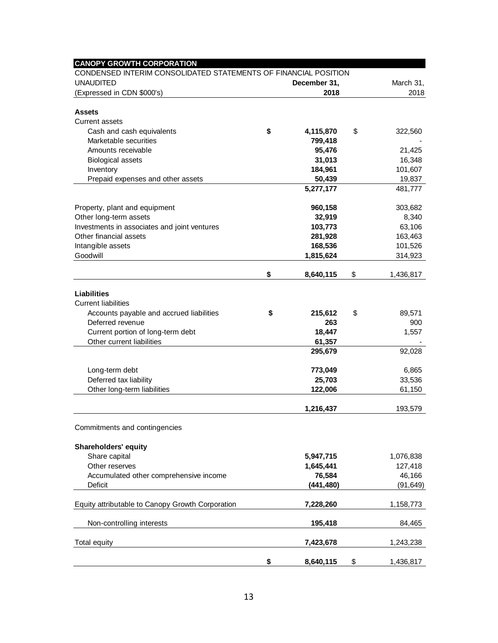| <b>CANOPY GROWTH CORPORATION</b><br>CONDENSED INTERIM CONSOLIDATED STATEMENTS OF FINANCIAL POSITION |                 |                 |
|-----------------------------------------------------------------------------------------------------|-----------------|-----------------|
| <b>UNAUDITED</b>                                                                                    | December 31,    | March 31,       |
| (Expressed in CDN \$000's)                                                                          | 2018            | 2018            |
|                                                                                                     |                 |                 |
| <b>Assets</b>                                                                                       |                 |                 |
| <b>Current assets</b>                                                                               |                 |                 |
| Cash and cash equivalents                                                                           | \$<br>4,115,870 | \$<br>322,560   |
| Marketable securities                                                                               | 799,418         |                 |
| Amounts receivable                                                                                  | 95,476          | 21,425          |
| <b>Biological assets</b>                                                                            | 31,013          | 16,348          |
| Inventory                                                                                           | 184,961         | 101,607         |
| Prepaid expenses and other assets                                                                   | 50,439          | 19,837          |
|                                                                                                     | 5,277,177       | 481,777         |
| Property, plant and equipment                                                                       | 960,158         | 303,682         |
| Other long-term assets                                                                              | 32,919          | 8,340           |
| Investments in associates and joint ventures                                                        | 103,773         | 63,106          |
| Other financial assets                                                                              | 281,928         | 163,463         |
| Intangible assets                                                                                   | 168,536         | 101,526         |
| Goodwill                                                                                            | 1,815,624       | 314,923         |
|                                                                                                     |                 |                 |
|                                                                                                     | \$<br>8,640,115 | \$<br>1,436,817 |
|                                                                                                     |                 |                 |
| <b>Liabilities</b>                                                                                  |                 |                 |
| <b>Current liabilities</b>                                                                          |                 |                 |
| Accounts payable and accrued liabilities                                                            | \$<br>215,612   | \$<br>89,571    |
| Deferred revenue                                                                                    | 263             | 900             |
| Current portion of long-term debt                                                                   | 18,447          | 1,557           |
| Other current liabilities                                                                           | 61,357          |                 |
|                                                                                                     | 295,679         | 92,028          |
| Long-term debt                                                                                      | 773,049         | 6,865           |
| Deferred tax liability                                                                              | 25,703          | 33,536          |
| Other long-term liabilities                                                                         | 122,006         | 61,150          |
|                                                                                                     |                 |                 |
|                                                                                                     | 1,216,437       | 193,579         |
| Commitments and contingencies                                                                       |                 |                 |
|                                                                                                     |                 |                 |
| <b>Shareholders' equity</b>                                                                         |                 |                 |
| Share capital                                                                                       | 5,947,715       | 1,076,838       |
| Other reserves                                                                                      | 1,645,441       | 127,418         |
| Accumulated other comprehensive income                                                              | 76,584          | 46,166          |
| Deficit                                                                                             | (441, 480)      | (91, 649)       |
|                                                                                                     |                 |                 |
| Equity attributable to Canopy Growth Corporation                                                    | 7,228,260       | 1,158,773       |
| Non-controlling interests                                                                           | 195,418         | 84,465          |
|                                                                                                     |                 |                 |
| Total equity                                                                                        | 7,423,678       | 1,243,238       |
|                                                                                                     |                 |                 |
|                                                                                                     | \$<br>8,640,115 | \$<br>1,436,817 |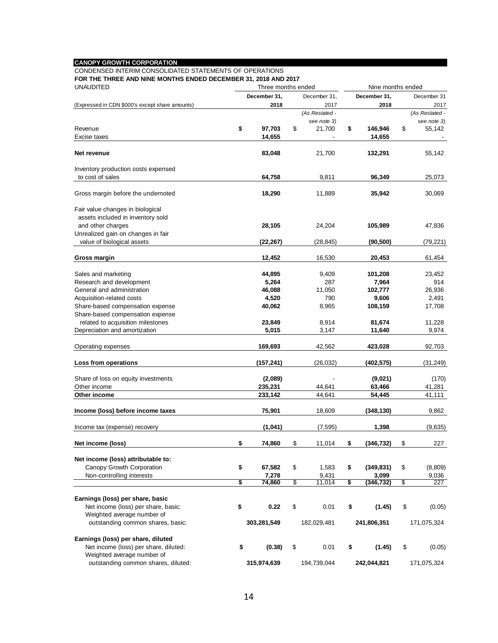#### **CANOPY GROWTH CORPORATION**

CONDENSED INTERIM CONSOLIDATED STATEMENTS OF OPERATIONS

**FOR THE THREE AND NINE MONTHS ENDED DECEMBER 31, 2018 AND 2017**

| December 31<br>2017<br>(As Restated -<br>see note 3)<br>\$<br>55,142<br>55,142<br>25,073<br>30,069<br>47,836 |
|--------------------------------------------------------------------------------------------------------------|
|                                                                                                              |
|                                                                                                              |
|                                                                                                              |
|                                                                                                              |
|                                                                                                              |
|                                                                                                              |
|                                                                                                              |
|                                                                                                              |
|                                                                                                              |
|                                                                                                              |
|                                                                                                              |
|                                                                                                              |
|                                                                                                              |
|                                                                                                              |
| (79, 221)                                                                                                    |
| 61,454                                                                                                       |
| 23,452                                                                                                       |
| 914                                                                                                          |
| 26,936                                                                                                       |
| 2,491                                                                                                        |
| 17,708                                                                                                       |
|                                                                                                              |
| 11,228                                                                                                       |
| 9,974                                                                                                        |
|                                                                                                              |
| 92,703                                                                                                       |
| (31, 249)                                                                                                    |
| (170)                                                                                                        |
| 41,281                                                                                                       |
| 41,111                                                                                                       |
| 9,862                                                                                                        |
| (9,635)                                                                                                      |
| \$<br>227                                                                                                    |
|                                                                                                              |
| \$<br>(8,809)                                                                                                |
| 9,036                                                                                                        |
| \$<br>227                                                                                                    |
|                                                                                                              |
| \$<br>(0.05)                                                                                                 |
|                                                                                                              |
| 171,075,324                                                                                                  |
|                                                                                                              |
| \$<br>(0.05)                                                                                                 |
|                                                                                                              |
| 171,075,324                                                                                                  |
|                                                                                                              |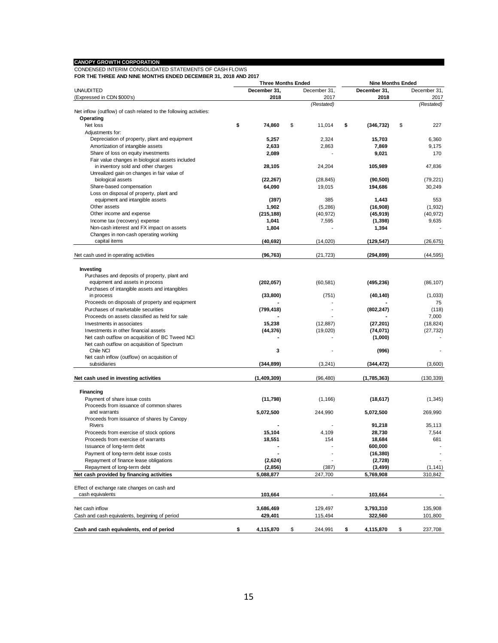#### **CANOPY GROWTH CORPORATION**

CONDENSED INTERIM CONSOLIDATED STATEMENTS OF CASH FLOWS **FOR THE THREE AND NINE MONTHS ENDED DECEMBER 31, 2018 AND 2017**

|                                                                   | <b>Three Months Ended</b> |              | <b>Nine Months Ended</b> |                  |    |              |  |  |
|-------------------------------------------------------------------|---------------------------|--------------|--------------------------|------------------|----|--------------|--|--|
| <b>UNAUDITED</b>                                                  |                           | December 31, | December 31,             | December 31,     |    | December 31, |  |  |
| (Expressed in CDN \$000's)                                        |                           | 2018         | 2017                     | 2018             |    | 2017         |  |  |
|                                                                   |                           |              | (Restated)               |                  |    | (Restated)   |  |  |
| Net inflow (outflow) of cash related to the following activities: |                           |              |                          |                  |    |              |  |  |
| Operating                                                         |                           |              |                          |                  |    |              |  |  |
| Net loss                                                          | \$                        | 74,860       | \$<br>11,014             | \$<br>(346, 732) | \$ | 227          |  |  |
| Adjustments for:                                                  |                           |              |                          |                  |    |              |  |  |
| Depreciation of property, plant and equipment                     |                           | 5,257        | 2,324                    | 15,703           |    | 6,360        |  |  |
| Amortization of intangible assets                                 |                           | 2,633        | 2,863                    | 7,869            |    | 9,175        |  |  |
| Share of loss on equity investments                               |                           | 2,089        |                          | 9,021            |    | 170          |  |  |
| Fair value changes in biological assets included                  |                           |              |                          |                  |    |              |  |  |
| in inventory sold and other charges                               |                           | 28,105       | 24,204                   | 105,989          |    | 47,836       |  |  |
| Unrealized gain on changes in fair value of                       |                           |              |                          |                  |    |              |  |  |
| biological assets                                                 |                           | (22, 267)    | (28, 845)                | (90, 500)        |    | (79, 221)    |  |  |
| Share-based compensation                                          |                           | 64,090       | 19,015                   | 194.686          |    | 30,249       |  |  |
| Loss on disposal of property, plant and                           |                           |              |                          |                  |    |              |  |  |
| equipment and intangible assets                                   |                           | (397)        | 385                      | 1,443            |    | 553          |  |  |
| Other assets                                                      |                           | 1,902        | (5,286)                  | (16,908)         |    | (1,932)      |  |  |
| Other income and expense                                          |                           | (215, 188)   | (40, 972)                | (45, 919)        |    | (40, 972)    |  |  |
| Income tax (recovery) expense                                     |                           | 1,041        | 7,595                    | (1, 398)         |    | 9,635        |  |  |
| Non-cash interest and FX impact on assets                         |                           | 1,804        |                          | 1,394            |    |              |  |  |
| Changes in non-cash operating working                             |                           |              |                          |                  |    |              |  |  |
| capital items                                                     |                           | (40,692)     | (14,020)                 | (129, 547)       |    | (26, 675)    |  |  |
|                                                                   |                           |              |                          |                  |    |              |  |  |
| Net cash used in operating activities                             |                           | (96, 763)    | (21, 723)                | (294, 899)       |    | (44, 595)    |  |  |
|                                                                   |                           |              |                          |                  |    |              |  |  |
| Investing                                                         |                           |              |                          |                  |    |              |  |  |
| Purchases and deposits of property, plant and                     |                           |              |                          |                  |    |              |  |  |
| equipment and assets in process                                   |                           | (202,057)    | (60, 581)                | (495, 236)       |    | (86, 107)    |  |  |
| Purchases of intangible assets and intangibles                    |                           |              |                          |                  |    |              |  |  |
| in process                                                        |                           | (33, 800)    | (751)                    | (40, 140)        |    | (1,033)      |  |  |
| Proceeds on disposals of property and equipment                   |                           |              |                          |                  |    | 75           |  |  |
| Purchases of marketable securities                                |                           | (799, 418)   |                          | (802,247)        |    | (118)        |  |  |
| Proceeds on assets classified as held for sale                    |                           |              |                          |                  |    | 7,000        |  |  |
| Investments in associates                                         |                           | 15,238       | (12, 887)                | (27, 201)        |    | (18, 824)    |  |  |
| Investments in other financial assets                             |                           | (44, 376)    | (19,020)                 | (74, 071)        |    | (27, 732)    |  |  |
| Net cash outflow on acquisition of BC Tweed NCI                   |                           |              |                          | (1,000)          |    |              |  |  |
| Net cash outflow on acquisition of Spectrum                       |                           |              |                          |                  |    |              |  |  |
| Chile NCI                                                         |                           | 3            |                          | (996)            |    |              |  |  |
| Net cash inflow (outflow) on acquisition of                       |                           |              |                          |                  |    |              |  |  |
| subsidiaries                                                      |                           | (344, 899)   | (3, 241)                 | (344,472)        |    | (3,600)      |  |  |
|                                                                   |                           |              |                          |                  |    |              |  |  |
| Net cash used in investing activities                             |                           | (1,409,309)  | (96, 480)                | (1,785,363)      |    | (130, 339)   |  |  |
|                                                                   |                           |              |                          |                  |    |              |  |  |
| Financing                                                         |                           |              |                          |                  |    |              |  |  |
| Payment of share issue costs                                      |                           | (11, 798)    | (1, 166)                 | (18, 617)        |    | (1, 345)     |  |  |
| Proceeds from issuance of common shares<br>and warrants           |                           |              | 244,990                  |                  |    | 269,990      |  |  |
| Proceeds from issuance of shares by Canopy                        |                           | 5,072,500    |                          | 5,072,500        |    |              |  |  |
| Rivers                                                            |                           |              |                          | 91,218           |    | 35.113       |  |  |
| Proceeds from exercise of stock options                           |                           | 15,104       | 4,109                    | 28,730           |    | 7,544        |  |  |
| Proceeds from exercise of warrants                                |                           |              | 154                      | 18,684           |    | 681          |  |  |
|                                                                   |                           | 18,551       |                          |                  |    |              |  |  |
| Issuance of long-term debt                                        |                           |              |                          | 600,000          |    |              |  |  |
| Payment of long-term debt issue costs                             |                           |              |                          | (16, 380)        |    |              |  |  |
| Repayment of finance lease obligations                            |                           | (2,624)      |                          | (2,728)          |    |              |  |  |
| Repayment of long-term debt                                       |                           | (2, 856)     | (387)                    | (3, 499)         |    | (1, 141)     |  |  |
| Net cash provided by financing activities                         |                           | 5,088,877    | 247,700                  | 5,769,908        |    | 310,842      |  |  |
|                                                                   |                           |              |                          |                  |    |              |  |  |
| Effect of exchange rate changes on cash and                       |                           |              |                          |                  |    |              |  |  |
| cash equivalents                                                  |                           | 103,664      |                          | 103,664          |    |              |  |  |
|                                                                   |                           |              |                          |                  |    |              |  |  |
| Net cash inflow                                                   |                           | 3,686,469    | 129,497                  | 3,793,310        |    | 135,908      |  |  |
| Cash and cash equivalents, beginning of period                    |                           | 429,401      | 115,494                  | 322,560          |    | 101,800      |  |  |
|                                                                   |                           |              |                          |                  |    |              |  |  |
| Cash and cash equivalents, end of period                          | \$                        | 4,115,870    | \$<br>244,991            | \$<br>4,115,870  | \$ | 237,708      |  |  |